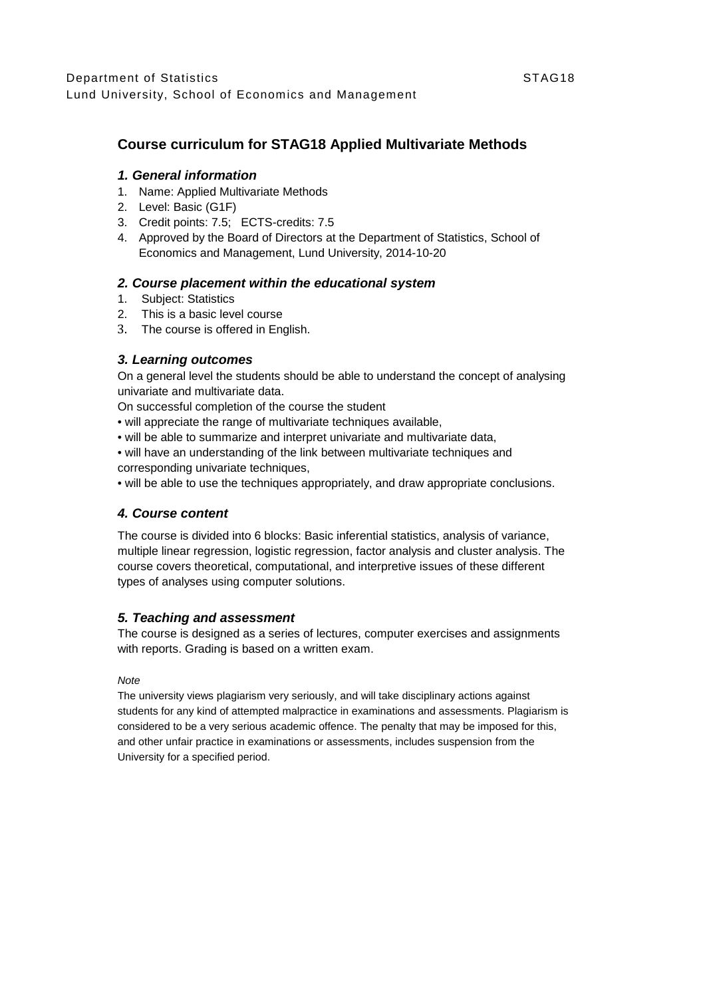# **Course curriculum for STAG18 Applied Multivariate Methods**

### *1. General information*

- 1. Name: Applied Multivariate Methods
- 2. Level: Basic (G1F)
- 3. Credit points: 7.5; ECTS-credits: 7.5
- 4. Approved by the Board of Directors at the Department of Statistics, School of Economics and Management, Lund University, 2014-10-20

## *2. Course placement within the educational system*

- 1. Subject: Statistics
- 2. This is a basic level course
- 3. The course is offered in English.

## *3. Learning outcomes*

On a general level the students should be able to understand the concept of analysing univariate and multivariate data.

On successful completion of the course the student

- will appreciate the range of multivariate techniques available,
- will be able to summarize and interpret univariate and multivariate data,

• will have an understanding of the link between multivariate techniques and corresponding univariate techniques,

• will be able to use the techniques appropriately, and draw appropriate conclusions.

## *4. Course content*

The course is divided into 6 blocks: Basic inferential statistics, analysis of variance, multiple linear regression, logistic regression, factor analysis and cluster analysis. The course covers theoretical, computational, and interpretive issues of these different types of analyses using computer solutions.

## *5. Teaching and assessment*

The course is designed as a series of lectures, computer exercises and assignments with reports. Grading is based on a written exam.

#### *Note*

The university views plagiarism very seriously, and will take disciplinary actions against students for any kind of attempted malpractice in examinations and assessments. Plagiarism is considered to be a very serious academic offence. The penalty that may be imposed for this, and other unfair practice in examinations or assessments, includes suspension from the University for a specified period.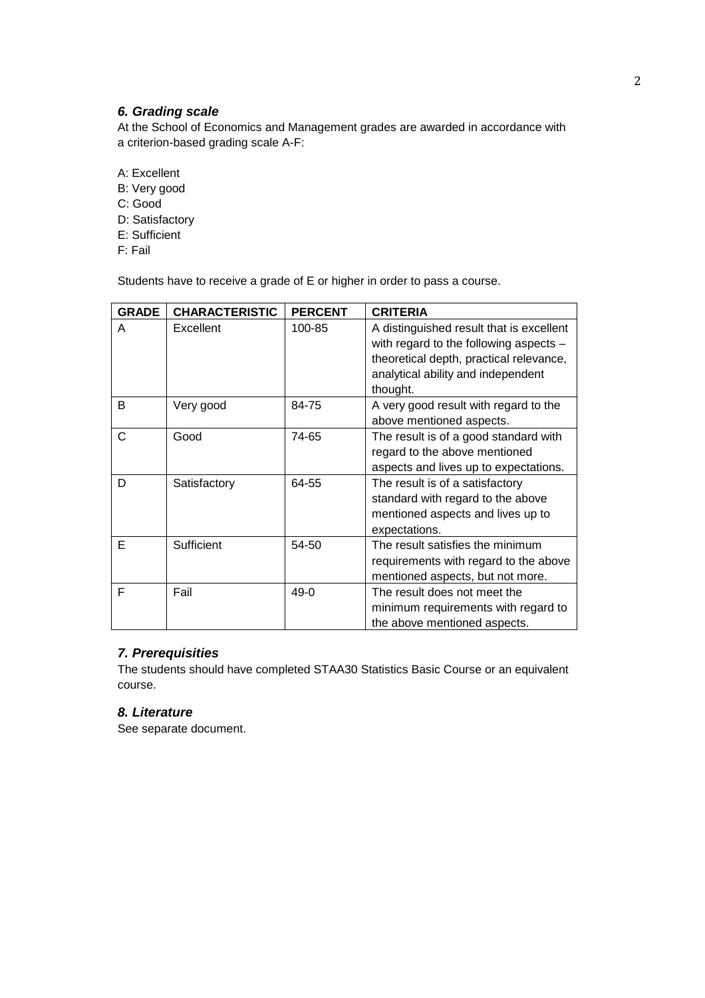## *6. Grading scale*

At the School of Economics and Management grades are awarded in accordance with a criterion-based grading scale A-F:

- A: Excellent
- B: Very good
- C: Good
- D: Satisfactory
- E: Sufficient
- F: Fail

Students have to receive a grade of E or higher in order to pass a course.

| <b>GRADE</b> | <b>CHARACTERISTIC</b> | <b>PERCENT</b> | <b>CRITERIA</b>                                                                                                                                                                   |
|--------------|-----------------------|----------------|-----------------------------------------------------------------------------------------------------------------------------------------------------------------------------------|
| A            | Excellent             | 100-85         | A distinguished result that is excellent<br>with regard to the following aspects $-$<br>theoretical depth, practical relevance,<br>analytical ability and independent<br>thought. |
| В            | Very good             | 84-75          | A very good result with regard to the<br>above mentioned aspects.                                                                                                                 |
| C            | Good                  | 74-65          | The result is of a good standard with<br>regard to the above mentioned<br>aspects and lives up to expectations.                                                                   |
| D            | Satisfactory          | 64-55          | The result is of a satisfactory<br>standard with regard to the above<br>mentioned aspects and lives up to<br>expectations.                                                        |
| Е            | Sufficient            | 54-50          | The result satisfies the minimum<br>requirements with regard to the above<br>mentioned aspects, but not more.                                                                     |
| F            | Fail                  | $49-0$         | The result does not meet the<br>minimum requirements with regard to<br>the above mentioned aspects.                                                                               |

## *7. Prerequisities*

The students should have completed STAA30 Statistics Basic Course or an equivalent course.

# *8. Literature*

See separate document.